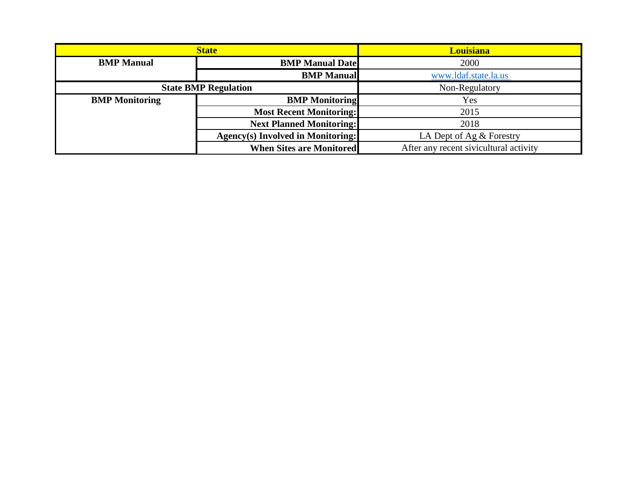| <b>State</b>                |                                   | <b>Louisiana</b>                       |
|-----------------------------|-----------------------------------|----------------------------------------|
| <b>BMP</b> Manual           | <b>BMP Manual Date</b>            | 2000                                   |
|                             | <b>BMP</b> Manual                 | www.ldaf.state.la.us                   |
| <b>State BMP Regulation</b> |                                   | Non-Regulatory                         |
| <b>BMP</b> Monitoring       | <b>BMP</b> Monitoring             | Yes                                    |
|                             | <b>Most Recent Monitoring:</b>    | 2015                                   |
|                             | <b>Next Planned Monitoring:</b>   | 2018                                   |
|                             | Agency(s) Involved in Monitoring: | LA Dept of Ag & Forestry               |
|                             | <b>When Sites are Monitored</b>   | After any recent sivicultural activity |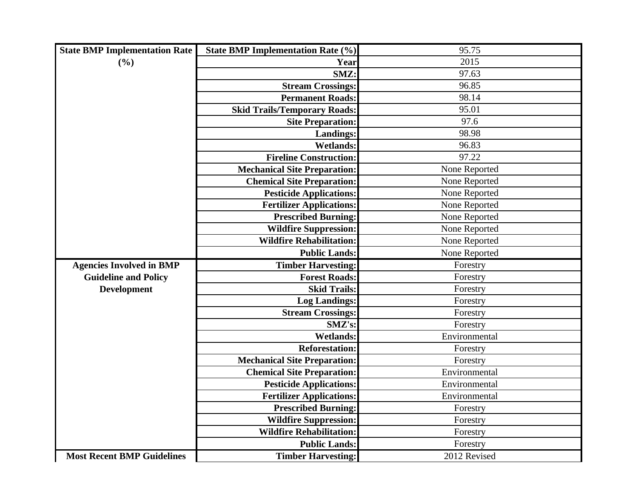| <b>State BMP Implementation Rate</b> | <b>State BMP Implementation Rate (%)</b> | 95.75         |
|--------------------------------------|------------------------------------------|---------------|
| (%)                                  | Year                                     | 2015          |
|                                      | SMZ:                                     | 97.63         |
|                                      | <b>Stream Crossings:</b>                 | 96.85         |
|                                      | <b>Permanent Roads:</b>                  | 98.14         |
|                                      | <b>Skid Trails/Temporary Roads:</b>      | 95.01         |
|                                      | <b>Site Preparation:</b>                 | 97.6          |
|                                      | <b>Landings:</b>                         | 98.98         |
|                                      | <b>Wetlands:</b>                         | 96.83         |
|                                      | <b>Fireline Construction:</b>            | 97.22         |
|                                      | <b>Mechanical Site Preparation:</b>      | None Reported |
|                                      | <b>Chemical Site Preparation:</b>        | None Reported |
|                                      | <b>Pesticide Applications:</b>           | None Reported |
|                                      | <b>Fertilizer Applications:</b>          | None Reported |
|                                      | <b>Prescribed Burning:</b>               | None Reported |
|                                      | <b>Wildfire Suppression:</b>             | None Reported |
|                                      | <b>Wildfire Rehabilitation:</b>          | None Reported |
|                                      | <b>Public Lands:</b>                     | None Reported |
| <b>Agencies Involved in BMP</b>      | <b>Timber Harvesting:</b>                | Forestry      |
| <b>Guideline and Policy</b>          | <b>Forest Roads:</b>                     | Forestry      |
| <b>Development</b>                   | <b>Skid Trails:</b>                      | Forestry      |
|                                      | <b>Log Landings:</b>                     | Forestry      |
|                                      | <b>Stream Crossings:</b>                 | Forestry      |
|                                      | SMZ's:                                   | Forestry      |
|                                      | <b>Wetlands:</b>                         | Environmental |
|                                      | <b>Reforestation:</b>                    | Forestry      |
|                                      | <b>Mechanical Site Preparation:</b>      | Forestry      |
|                                      | <b>Chemical Site Preparation:</b>        | Environmental |
|                                      | <b>Pesticide Applications:</b>           | Environmental |
|                                      | <b>Fertilizer Applications:</b>          | Environmental |
|                                      | <b>Prescribed Burning:</b>               | Forestry      |
|                                      | <b>Wildfire Suppression:</b>             | Forestry      |
|                                      | <b>Wildfire Rehabilitation:</b>          | Forestry      |
|                                      | <b>Public Lands:</b>                     | Forestry      |
| <b>Most Recent BMP Guidelines</b>    | <b>Timber Harvesting:</b>                | 2012 Revised  |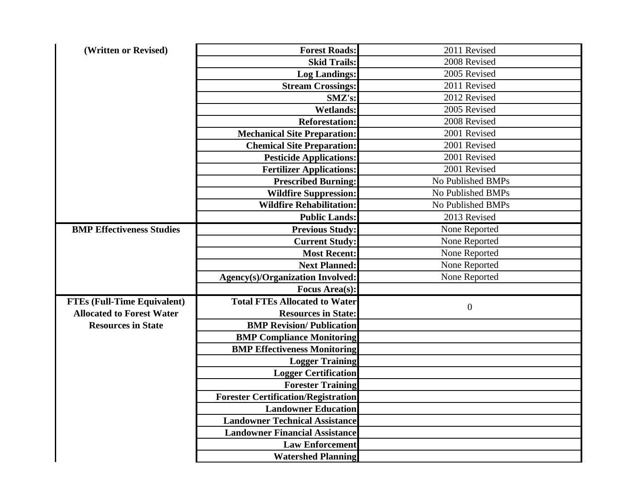| (Written or Revised)               | <b>Forest Roads:</b>                       | 2011 Revised      |
|------------------------------------|--------------------------------------------|-------------------|
|                                    | <b>Skid Trails:</b>                        | 2008 Revised      |
|                                    | <b>Log Landings:</b>                       | 2005 Revised      |
|                                    | <b>Stream Crossings:</b>                   | 2011 Revised      |
|                                    | SMZ's:                                     | 2012 Revised      |
|                                    | <b>Wetlands:</b>                           | 2005 Revised      |
|                                    | <b>Reforestation:</b>                      | 2008 Revised      |
|                                    | <b>Mechanical Site Preparation:</b>        | 2001 Revised      |
|                                    | <b>Chemical Site Preparation:</b>          | 2001 Revised      |
|                                    | <b>Pesticide Applications:</b>             | 2001 Revised      |
|                                    | <b>Fertilizer Applications:</b>            | 2001 Revised      |
|                                    | <b>Prescribed Burning:</b>                 | No Published BMPs |
|                                    | <b>Wildfire Suppression:</b>               | No Published BMPs |
|                                    | <b>Wildfire Rehabilitation:</b>            | No Published BMPs |
|                                    | <b>Public Lands:</b>                       | 2013 Revised      |
| <b>BMP Effectiveness Studies</b>   | <b>Previous Study:</b>                     | None Reported     |
|                                    | <b>Current Study:</b>                      | None Reported     |
|                                    | <b>Most Recent:</b>                        | None Reported     |
|                                    | <b>Next Planned:</b>                       | None Reported     |
|                                    | <b>Agency(s)/Organization Involved:</b>    | None Reported     |
|                                    | <b>Focus Area(s):</b>                      |                   |
| <b>FTEs (Full-Time Equivalent)</b> | <b>Total FTEs Allocated to Water</b>       | $\boldsymbol{0}$  |
| <b>Allocated to Forest Water</b>   | <b>Resources in State:</b>                 |                   |
| <b>Resources in State</b>          | <b>BMP Revision/Publication</b>            |                   |
|                                    | <b>BMP Compliance Monitoring</b>           |                   |
|                                    | <b>BMP Effectiveness Monitoring</b>        |                   |
|                                    | <b>Logger Training</b>                     |                   |
|                                    | <b>Logger Certification</b>                |                   |
|                                    | <b>Forester Training</b>                   |                   |
|                                    | <b>Forester Certification/Registration</b> |                   |
|                                    | <b>Landowner Education</b>                 |                   |
|                                    | <b>Landowner Technical Assistance</b>      |                   |
|                                    | <b>Landowner Financial Assistance</b>      |                   |
|                                    | <b>Law Enforcement</b>                     |                   |
|                                    | <b>Watershed Planning</b>                  |                   |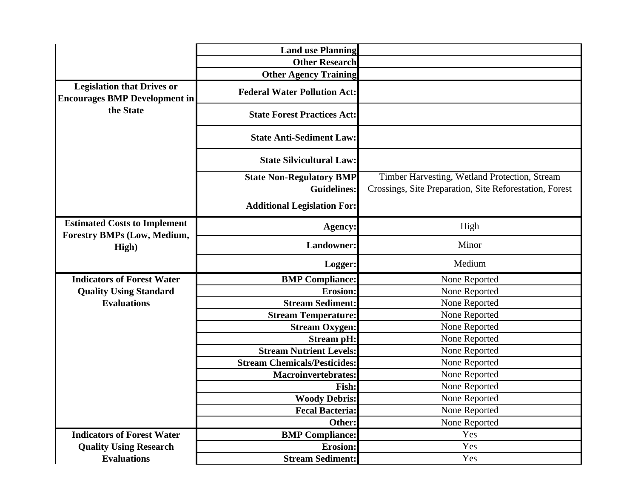|                                                                           | <b>Land use Planning</b>                              |                                                                                                          |
|---------------------------------------------------------------------------|-------------------------------------------------------|----------------------------------------------------------------------------------------------------------|
|                                                                           | <b>Other Research</b>                                 |                                                                                                          |
|                                                                           | <b>Other Agency Training</b>                          |                                                                                                          |
| <b>Legislation that Drives or</b><br><b>Encourages BMP Development in</b> | <b>Federal Water Pollution Act:</b>                   |                                                                                                          |
| the State                                                                 | <b>State Forest Practices Act:</b>                    |                                                                                                          |
|                                                                           | <b>State Anti-Sediment Law:</b>                       |                                                                                                          |
|                                                                           | <b>State Silvicultural Law:</b>                       |                                                                                                          |
|                                                                           | <b>State Non-Regulatory BMP</b><br><b>Guidelines:</b> | Timber Harvesting, Wetland Protection, Stream<br>Crossings, Site Preparation, Site Reforestation, Forest |
|                                                                           | <b>Additional Legislation For:</b>                    |                                                                                                          |
| <b>Estimated Costs to Implement</b><br><b>Forestry BMPs (Low, Medium,</b> | <b>Agency:</b>                                        | High                                                                                                     |
| High)                                                                     | <b>Landowner:</b>                                     | Minor                                                                                                    |
|                                                                           | Logger:                                               | Medium                                                                                                   |
| <b>Indicators of Forest Water</b>                                         | <b>BMP</b> Compliance:                                | None Reported                                                                                            |
| <b>Quality Using Standard</b>                                             | <b>Erosion:</b>                                       | None Reported                                                                                            |
| <b>Evaluations</b>                                                        | <b>Stream Sediment:</b>                               | None Reported                                                                                            |
|                                                                           | <b>Stream Temperature:</b>                            | None Reported                                                                                            |
|                                                                           | <b>Stream Oxygen:</b>                                 | None Reported                                                                                            |
|                                                                           | <b>Stream pH:</b><br><b>Stream Nutrient Levels:</b>   | None Reported                                                                                            |
|                                                                           | <b>Stream Chemicals/Pesticides:</b>                   | None Reported<br>None Reported                                                                           |
|                                                                           | <b>Macroinvertebrates:</b>                            | None Reported                                                                                            |
|                                                                           | Fish:                                                 | None Reported                                                                                            |
|                                                                           | <b>Woody Debris:</b>                                  | None Reported                                                                                            |
|                                                                           | <b>Fecal Bacteria:</b>                                | None Reported                                                                                            |
|                                                                           | Other:                                                | None Reported                                                                                            |
| <b>Indicators of Forest Water</b>                                         | <b>BMP</b> Compliance:                                | Yes                                                                                                      |
| <b>Quality Using Research</b>                                             | <b>Erosion:</b>                                       | Yes                                                                                                      |
| <b>Evaluations</b>                                                        | <b>Stream Sediment:</b>                               | Yes                                                                                                      |